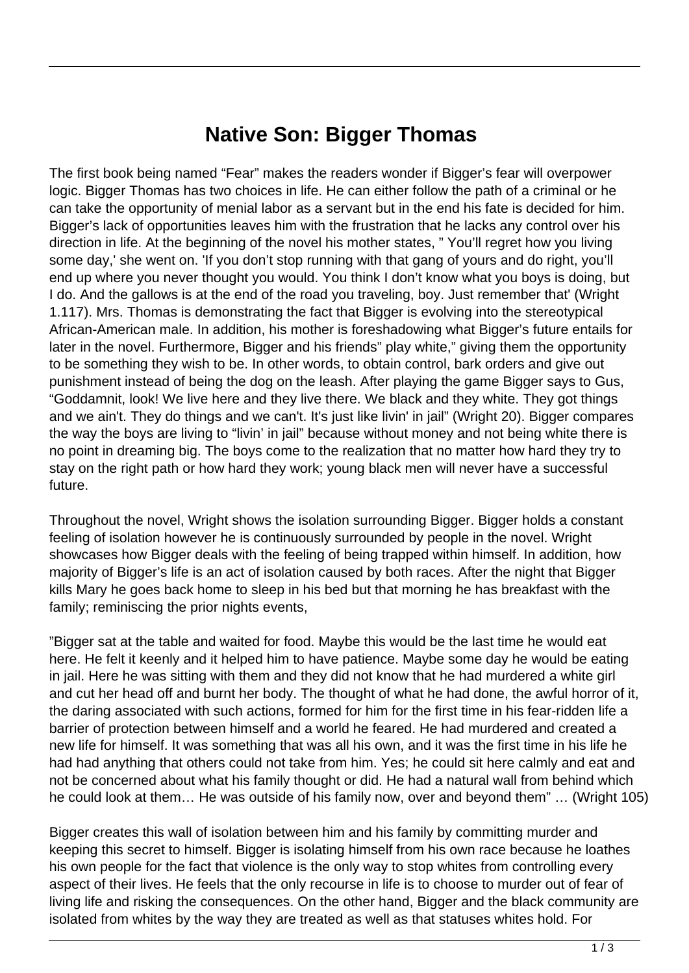## **Native Son: Bigger Thomas**

The first book being named "Fear" makes the readers wonder if Bigger's fear will overpower logic. Bigger Thomas has two choices in life. He can either follow the path of a criminal or he can take the opportunity of menial labor as a servant but in the end his fate is decided for him. Bigger's lack of opportunities leaves him with the frustration that he lacks any control over his direction in life. At the beginning of the novel his mother states, " You'll regret how you living some day,' she went on. 'If you don't stop running with that gang of yours and do right, you'll end up where you never thought you would. You think I don't know what you boys is doing, but I do. And the gallows is at the end of the road you traveling, boy. Just remember that' (Wright 1.117). Mrs. Thomas is demonstrating the fact that Bigger is evolving into the stereotypical African-American male. In addition, his mother is foreshadowing what Bigger's future entails for later in the novel. Furthermore, Bigger and his friends" play white," giving them the opportunity to be something they wish to be. In other words, to obtain control, bark orders and give out punishment instead of being the dog on the leash. After playing the game Bigger says to Gus, "Goddamnit, look! We live here and they live there. We black and they white. They got things and we ain't. They do things and we can't. It's just like livin' in jail" (Wright 20). Bigger compares the way the boys are living to "livin' in jail" because without money and not being white there is no point in dreaming big. The boys come to the realization that no matter how hard they try to stay on the right path or how hard they work; young black men will never have a successful future.

Throughout the novel, Wright shows the isolation surrounding Bigger. Bigger holds a constant feeling of isolation however he is continuously surrounded by people in the novel. Wright showcases how Bigger deals with the feeling of being trapped within himself. In addition, how majority of Bigger's life is an act of isolation caused by both races. After the night that Bigger kills Mary he goes back home to sleep in his bed but that morning he has breakfast with the family; reminiscing the prior nights events,

"Bigger sat at the table and waited for food. Maybe this would be the last time he would eat here. He felt it keenly and it helped him to have patience. Maybe some day he would be eating in jail. Here he was sitting with them and they did not know that he had murdered a white girl and cut her head off and burnt her body. The thought of what he had done, the awful horror of it, the daring associated with such actions, formed for him for the first time in his fear-ridden life a barrier of protection between himself and a world he feared. He had murdered and created a new life for himself. It was something that was all his own, and it was the first time in his life he had had anything that others could not take from him. Yes; he could sit here calmly and eat and not be concerned about what his family thought or did. He had a natural wall from behind which he could look at them… He was outside of his family now, over and beyond them" … (Wright 105)

Bigger creates this wall of isolation between him and his family by committing murder and keeping this secret to himself. Bigger is isolating himself from his own race because he loathes his own people for the fact that violence is the only way to stop whites from controlling every aspect of their lives. He feels that the only recourse in life is to choose to murder out of fear of living life and risking the consequences. On the other hand, Bigger and the black community are isolated from whites by the way they are treated as well as that statuses whites hold. For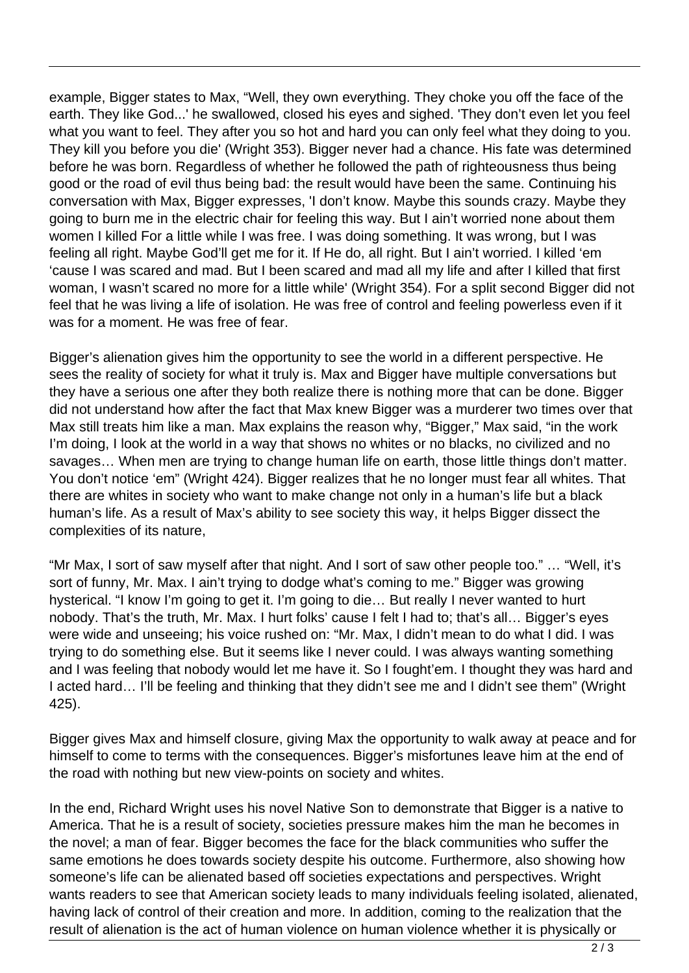example, Bigger states to Max, "Well, they own everything. They choke you off the face of the earth. They like God...' he swallowed, closed his eyes and sighed. 'They don't even let you feel what you want to feel. They after you so hot and hard you can only feel what they doing to you. They kill you before you die' (Wright 353). Bigger never had a chance. His fate was determined before he was born. Regardless of whether he followed the path of righteousness thus being good or the road of evil thus being bad: the result would have been the same. Continuing his conversation with Max, Bigger expresses, 'I don't know. Maybe this sounds crazy. Maybe they going to burn me in the electric chair for feeling this way. But I ain't worried none about them women I killed For a little while I was free. I was doing something. It was wrong, but I was feeling all right. Maybe God'll get me for it. If He do, all right. But I ain't worried. I killed 'em 'cause I was scared and mad. But I been scared and mad all my life and after I killed that first woman, I wasn't scared no more for a little while' (Wright 354). For a split second Bigger did not feel that he was living a life of isolation. He was free of control and feeling powerless even if it was for a moment. He was free of fear.

Bigger's alienation gives him the opportunity to see the world in a different perspective. He sees the reality of society for what it truly is. Max and Bigger have multiple conversations but they have a serious one after they both realize there is nothing more that can be done. Bigger did not understand how after the fact that Max knew Bigger was a murderer two times over that Max still treats him like a man. Max explains the reason why, "Bigger," Max said, "in the work I'm doing, I look at the world in a way that shows no whites or no blacks, no civilized and no savages… When men are trying to change human life on earth, those little things don't matter. You don't notice 'em" (Wright 424). Bigger realizes that he no longer must fear all whites. That there are whites in society who want to make change not only in a human's life but a black human's life. As a result of Max's ability to see society this way, it helps Bigger dissect the complexities of its nature,

"Mr Max, I sort of saw myself after that night. And I sort of saw other people too." … "Well, it's sort of funny, Mr. Max. I ain't trying to dodge what's coming to me." Bigger was growing hysterical. "I know I'm going to get it. I'm going to die… But really I never wanted to hurt nobody. That's the truth, Mr. Max. I hurt folks' cause I felt I had to; that's all… Bigger's eyes were wide and unseeing; his voice rushed on: "Mr. Max, I didn't mean to do what I did. I was trying to do something else. But it seems like I never could. I was always wanting something and I was feeling that nobody would let me have it. So I fought'em. I thought they was hard and I acted hard… I'll be feeling and thinking that they didn't see me and I didn't see them" (Wright 425).

Bigger gives Max and himself closure, giving Max the opportunity to walk away at peace and for himself to come to terms with the consequences. Bigger's misfortunes leave him at the end of the road with nothing but new view-points on society and whites.

In the end, Richard Wright uses his novel Native Son to demonstrate that Bigger is a native to America. That he is a result of society, societies pressure makes him the man he becomes in the novel; a man of fear. Bigger becomes the face for the black communities who suffer the same emotions he does towards society despite his outcome. Furthermore, also showing how someone's life can be alienated based off societies expectations and perspectives. Wright wants readers to see that American society leads to many individuals feeling isolated, alienated, having lack of control of their creation and more. In addition, coming to the realization that the result of alienation is the act of human violence on human violence whether it is physically or